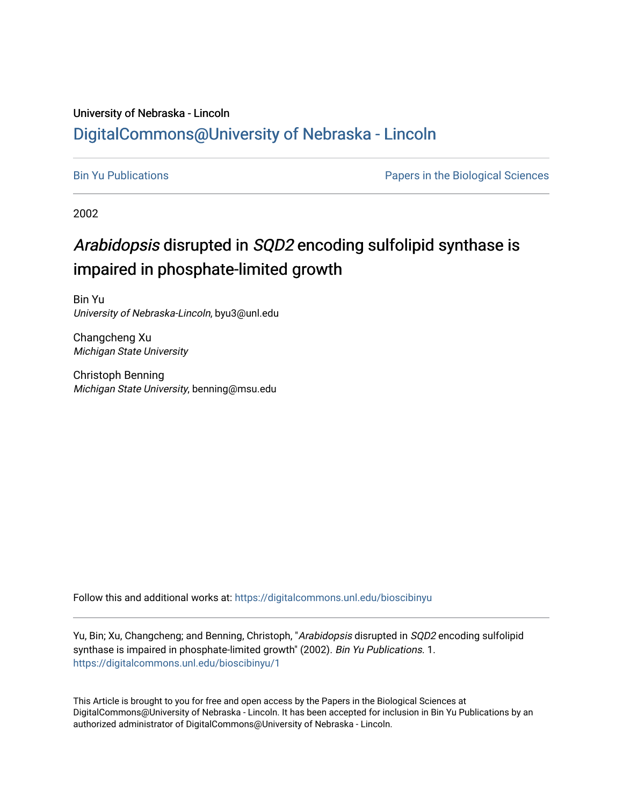### University of Nebraska - Lincoln [DigitalCommons@University of Nebraska - Lincoln](https://digitalcommons.unl.edu/)

[Bin Yu Publications](https://digitalcommons.unl.edu/bioscibinyu) **Papers** in the Biological Sciences

2002

## Arabidopsis disrupted in SQD2 encoding sulfolipid synthase is impaired in phosphate-limited growth

Bin Yu University of Nebraska-Lincoln, byu3@unl.edu

Changcheng Xu Michigan State University

Christoph Benning Michigan State University, benning@msu.edu

Follow this and additional works at: [https://digitalcommons.unl.edu/bioscibinyu](https://digitalcommons.unl.edu/bioscibinyu?utm_source=digitalcommons.unl.edu%2Fbioscibinyu%2F1&utm_medium=PDF&utm_campaign=PDFCoverPages) 

Yu, Bin; Xu, Changcheng; and Benning, Christoph, "Arabidopsis disrupted in SQD2 encoding sulfolipid synthase is impaired in phosphate-limited growth" (2002). Bin Yu Publications. 1. [https://digitalcommons.unl.edu/bioscibinyu/1](https://digitalcommons.unl.edu/bioscibinyu/1?utm_source=digitalcommons.unl.edu%2Fbioscibinyu%2F1&utm_medium=PDF&utm_campaign=PDFCoverPages) 

This Article is brought to you for free and open access by the Papers in the Biological Sciences at DigitalCommons@University of Nebraska - Lincoln. It has been accepted for inclusion in Bin Yu Publications by an authorized administrator of DigitalCommons@University of Nebraska - Lincoln.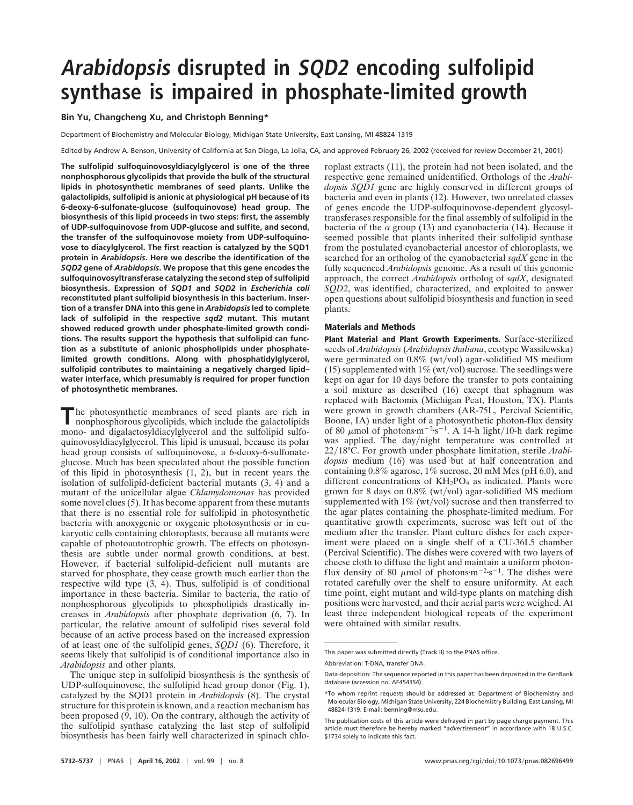# **Arabidopsis disrupted in SQD2 encoding sulfolipid synthase is impaired in phosphate-limited growth**

#### **Bin Yu, Changcheng Xu, and Christoph Benning\***

Department of Biochemistry and Molecular Biology, Michigan State University, East Lansing, MI 48824-1319

Edited by Andrew A. Benson, University of California at San Diego, La Jolla, CA, and approved February 26, 2002 (received for review December 21, 2001)

**The sulfolipid sulfoquinovosyldiacylglycerol is one of the three nonphosphorous glycolipids that provide the bulk of the structural lipids in photosynthetic membranes of seed plants. Unlike the galactolipids, sulfolipid is anionic at physiological pH because of its 6-deoxy-6-sulfonate-glucose (sulfoquinovose) head group. The biosynthesis of this lipid proceeds in two steps: first, the assembly of UDP-sulfoquinovose from UDP-glucose and sulfite, and second, the transfer of the sulfoquinovose moiety from UDP-sulfoquinovose to diacylglycerol. The first reaction is catalyzed by the SQD1 protein in** *Arabidopsis***. Here we describe the identification of the** *SQD2* **gene of** *Arabidopsis***. We propose that this gene encodes the sulfoquinovosyltransferase catalyzing the second step of sulfolipid biosynthesis. Expression of** *SQD1* **and** *SQD2* **in** *Escherichia coli* **reconstituted plant sulfolipid biosynthesis in this bacterium. Insertion of a transfer DNA into this gene in** *Arabidopsis* **led to complete lack of sulfolipid in the respective** *sqd2* **mutant. This mutant showed reduced growth under phosphate-limited growth conditions. The results support the hypothesis that sulfolipid can function as a substitute of anionic phospholipids under phosphatelimited growth conditions. Along with phosphatidylglycerol, sulfolipid contributes to maintaining a negatively charged lipid– water interface, which presumably is required for proper function of photosynthetic membranes.**

**The photosynthetic membranes of seed plants are rich in** nonphosphorous always and the set of seed plants are rich in nonphosphorous glycolipids, which include the galactolipids mono- and digalactosyldiacylglycerol and the sulfolipid sulfoquinovosyldiacylglycerol. This lipid is unusual, because its polar head group consists of sulfoquinovose, a 6-deoxy-6-sulfonateglucose. Much has been speculated about the possible function of this lipid in photosynthesis (1, 2), but in recent years the isolation of sulfolipid-deficient bacterial mutants (3, 4) and a mutant of the unicellular algae *Chlamydomonas* has provided some novel clues (5). It has become apparent from these mutants that there is no essential role for sulfolipid in photosynthetic bacteria with anoxygenic or oxygenic photosynthesis or in eukaryotic cells containing chloroplasts, because all mutants were capable of photoautotrophic growth. The effects on photosynthesis are subtle under normal growth conditions, at best. However, if bacterial sulfolipid-deficient null mutants are starved for phosphate, they cease growth much earlier than the respective wild type (3, 4). Thus, sulfolipid is of conditional importance in these bacteria. Similar to bacteria, the ratio of nonphosphorous glycolipids to phospholipids drastically increases in *Arabidopsis* after phosphate deprivation (6, 7). In particular, the relative amount of sulfolipid rises several fold because of an active process based on the increased expression of at least one of the sulfolipid genes, *SQD1* (6). Therefore, it seems likely that sulfolipid is of conditional importance also in *Arabidopsis* and other plants.

The unique step in sulfolipid biosynthesis is the synthesis of UDP-sulfoquinovose, the sulfolipid head group donor (Fig. 1), catalyzed by the SQD1 protein in *Arabidopsis* (8). The crystal structure for this protein is known, and a reaction mechanism has been proposed (9, 10). On the contrary, although the activity of the sulfolipid synthase catalyzing the last step of sulfolipid biosynthesis has been fairly well characterized in spinach chloroplast extracts (11), the protein had not been isolated, and the respective gene remained unidentified. Orthologs of the *Arabidopsis SQD1* gene are highly conserved in different groups of bacteria and even in plants (12). However, two unrelated classes of genes encode the UDP-sulfoquinovose-dependent glycosyltransferases responsible for the final assembly of sulfolipid in the bacteria of the  $\alpha$  group (13) and cyanobacteria (14). Because it seemed possible that plants inherited their sulfolipid synthase from the postulated cyanobacterial ancestor of chloroplasts, we searched for an ortholog of the cyanobacterial *sqdX* gene in the fully sequenced *Arabidopsis* genome. As a result of this genomic approach, the correct *Arabidopsis* ortholog of *sqdX*, designated *SQD2*, was identified, characterized, and exploited to answer open questions about sulfolipid biosynthesis and function in seed plants.

#### **Materials and Methods**

**Plant Material and Plant Growth Experiments.** Surface-sterilized seeds of *Arabidopsis* (*Arabidopsis thaliana*, ecotype Wassilewska) were germinated on  $0.8\%$  (wt/vol) agar-solidified MS medium (15) supplemented with  $1\%$  (wt/vol) sucrose. The seedlings were kept on agar for 10 days before the transfer to pots containing a soil mixture as described (16) except that sphagnum was replaced with Bactomix (Michigan Peat, Houston, TX). Plants were grown in growth chambers (AR-75L, Percival Scientific, Boone, IA) under light of a photosynthetic photon-flux density of 80  $\mu$ mol of photons·m<sup>-2</sup>·s<sup>-1</sup>. A 14-h light/10-h dark regime was applied. The day/night temperature was controlled at 2218°C. For growth under phosphate limitation, sterile *Arabidopsis* medium (16) was used but at half concentration and containing 0.8% agarose, 1% sucrose, 20 mM Mes (pH 6.0), and different concentrations of  $KH_2PO_4$  as indicated. Plants were grown for 8 days on  $0.8\%$  (wt/vol) agar-solidified MS medium supplemented with  $1\%$  (wt/vol) sucrose and then transferred to the agar plates containing the phosphate-limited medium. For quantitative growth experiments, sucrose was left out of the medium after the transfer. Plant culture dishes for each experiment were placed on a single shelf of a CU-36L5 chamber (Percival Scientific). The dishes were covered with two layers of cheese cloth to diffuse the light and maintain a uniform photonflux density of 80  $\mu$ mol of photons·m<sup>-2</sup>·s<sup>-1</sup>. The dishes were rotated carefully over the shelf to ensure uniformity. At each time point, eight mutant and wild-type plants on matching dish positions were harvested, and their aerial parts were weighed. At least three independent biological repeats of the experiment were obtained with similar results.

This paper was submitted directly (Track II) to the PNAS office.

Abbreviation: T-DNA, transfer DNA.

Data deposition: The sequence reported in this paper has been deposited in the GenBank database (accession no. AF454354).

<sup>\*</sup>To whom reprint requests should be addressed at: Department of Biochemistry and Molecular Biology, Michigan State University, 224 Biochemistry Building, East Lansing, MI 48824-1319. E-mail: benning@msu.edu.

The publication costs of this article were defrayed in part by page charge payment. This article must therefore be hereby marked "*advertisement*" in accordance with 18 U.S.C. §1734 solely to indicate this fact.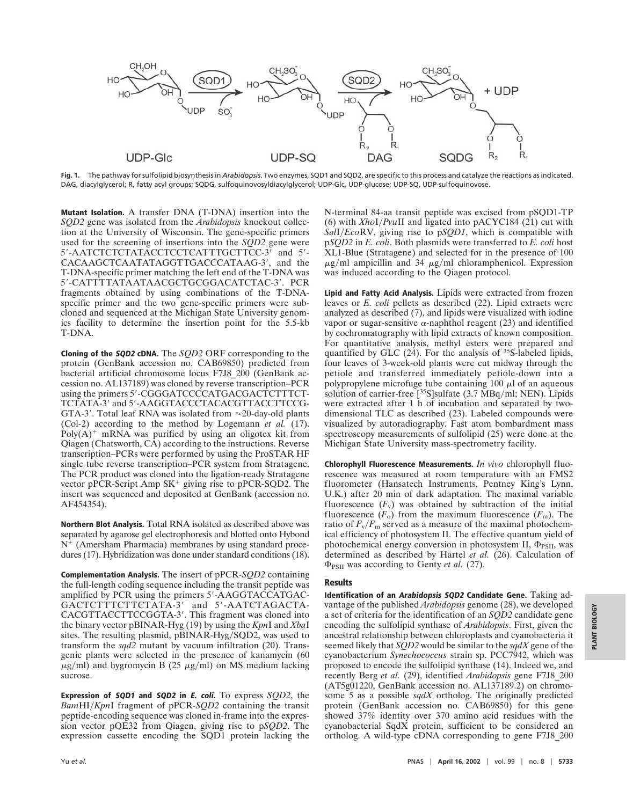

**Fig. 1.** The pathway for sulfolipid biosynthesis in *Arabidopsis*. Two enzymes, SQD1 and SQD2, are specific to this process and catalyze the reactions as indicated. DAG, diacylglycerol; R, fatty acyl groups; SQDG, sulfoquinovosyldiacylglycerol; UDP-Glc, UDP-glucose; UDP-SQ, UDP-sulfoquinovose.

**Mutant Isolation.** A transfer DNA (T-DNA) insertion into the *SQD2* gene was isolated from the *Arabidopsis* knockout collection at the University of Wisconsin. The gene-specific primers used for the screening of insertions into the *SQD2* gene were 5'-AATCTCTCTATACCTCCTCATTTGCTTCC-3' and 5'-CACAAGCTCAATATAGGTTGACCCATAAG-3', and the T-DNA-specific primer matching the left end of the T-DNA was 5--CATTTTATAATAACGCTGCGGACATCTAC-3-. PCR fragments obtained by using combinations of the T-DNAspecific primer and the two gene-specific primers were subcloned and sequenced at the Michigan State University genomics facility to determine the insertion point for the 5.5-kb T-DNA.

**Cloning of the SQD2 cDNA.** The *SQD2* ORF corresponding to the protein (GenBank accession no. CAB69850) predicted from bacterial artificial chromosome locus F7J8\_200 (GenBank accession no. AL137189) was cloned by reverse transcription–PCR using the primers 5'-CGGGATCCCCATGACGACTCTTTCT-TCTATA-3' and 5'-AAGGTACCCTACACGTTACCTTCCG-GTA-3'. Total leaf RNA was isolated from  $\approx$ 20-day-old plants (Col-2) according to the method by Logemann *et al.* (17). Poly $(A)^+$  mRNA was purified by using an oligotex kit from Qiagen (Chatsworth, CA) according to the instructions. Reverse transcription–PCRs were performed by using the ProSTAR HF single tube reverse transcription–PCR system from Stratagene. The PCR product was cloned into the ligation-ready Stratagene vector pPCR-Script Amp  $SK^+$  giving rise to pPCR-SQD2. The insert was sequenced and deposited at GenBank (accession no. AF454354).

**Northern Blot Analysis.** Total RNA isolated as described above was separated by agarose gel electrophoresis and blotted onto Hybond  $N^{+}$  (Amersham Pharmacia) membranes by using standard procedures (17). Hybridization was done under standard conditions (18).

**Complementation Analysis.** The insert of pPCR-*SQD2* containing the full-length coding sequence including the transit peptide was amplified by PCR using the primers 5'-AAGGTACCATGAC-GACTCTTTCTTCTATA-3' and 5'-AATCTAGACTA-CACGTTACCTTCCGGTA-3'. This fragment was cloned into the binary vector pBINAR-Hyg (19) by using the *Kpn*I and *Xba*I sites. The resulting plasmid, pBINAR-Hyg/SQD2, was used to transform the *sqd2* mutant by vacuum infiltration (20). Transgenic plants were selected in the presence of kanamycin (60  $\mu$ g/ml) and hygromycin B (25  $\mu$ g/ml) on MS medium lacking sucrose.

**Expression of SQD1 and SQD2 in E. coli.** To express *SQD2*, the *Bam*HI*Kpn*I fragment of pPCR-*SQD2* containing the transit peptide-encoding sequence was cloned in-frame into the expression vector pQE32 from Qiagen, giving rise to p*SQD2*. The expression cassette encoding the SQD1 protein lacking the N-terminal 84-aa transit peptide was excised from pSQD1-TP (6) with *Xho*I*Pvu*II and ligated into pACYC184 (21) cut with *Sal*I*Eco*RV, giving rise to p*SQD1*, which is compatible with p*SQD2* in *E. coli*. Both plasmids were transferred to *E. coli* host XL1-Blue (Stratagene) and selected for in the presence of 100  $\mu$ g/ml ampicillin and 34  $\mu$ g/ml chloramphenicol. Expression was induced according to the Qiagen protocol.

**Lipid and Fatty Acid Analysis.** Lipids were extracted from frozen leaves or *E. coli* pellets as described (22). Lipid extracts were analyzed as described (7), and lipids were visualized with iodine vapor or sugar-sensitive  $\alpha$ -naphthol reagent (23) and identified by cochromatography with lipid extracts of known composition. For quantitative analysis, methyl esters were prepared and quantified by GLC (24). For the analysis of <sup>35</sup>S-labeled lipids, four leaves of 3-week-old plants were cut midway through the petiole and transferred immediately petiole-down into a polypropylene microfuge tube containing  $100 \mu l$  of an aqueous solution of carrier-free  $[35S]$ sulfate (3.7 MBq/ml; NEN). Lipids were extracted after 1 h of incubation and separated by twodimensional TLC as described (23). Labeled compounds were visualized by autoradiography. Fast atom bombardment mass spectroscopy measurements of sulfolipid (25) were done at the Michigan State University mass-spectrometry facility.

**Chlorophyll Fluorescence Measurements.** *In vivo* chlorophyll fluorescence was measured at room temperature with an FMS2 fluorometer (Hansatech Instruments, Pentney King's Lynn, U.K.) after 20 min of dark adaptation. The maximal variable fluorescence  $(F_v)$  was obtained by subtraction of the initial fluorescence  $(F<sub>o</sub>)$  from the maximum fluorescence  $(F<sub>m</sub>)$ . The ratio of  $F_v/F_m$  served as a measure of the maximal photochemical efficiency of photosystem II. The effective quantum yield of photochemical energy conversion in photosystem II,  $\Phi_{PSII}$ , was determined as described by Härtel et al. (26). Calculation of  $\Phi_{PSII}$  was according to Genty *et al.* (27).

#### **Results**

**Identification of an Arabidopsis SQD2 Candidate Gene.** Taking advantage of the published *Arabidopsis* genome (28), we developed a set of criteria for the identification of an *SQD2* candidate gene encoding the sulfolipid synthase of *Arabidopsis*. First, given the ancestral relationship between chloroplasts and cyanobacteria it seemed likely that *SQD2* would be similar to the *sqdX* gene of the cyanobacterium *Synechococcus* strain sp. PCC7942, which was proposed to encode the sulfolipid synthase (14). Indeed we, and recently Berg *et al.* (29), identified *Arabidopsis* gene F7J8\_200 (AT5g01220, GenBank accession no. AL137189.2) on chromosome 5 as a possible *sqdX* ortholog. The originally predicted protein (GenBank accession no. CAB69850) for this gene showed 37% identity over 370 amino acid residues with the cyanobacterial SqdX protein, sufficient to be considered an ortholog. A wild-type cDNA corresponding to gene F7J8\_200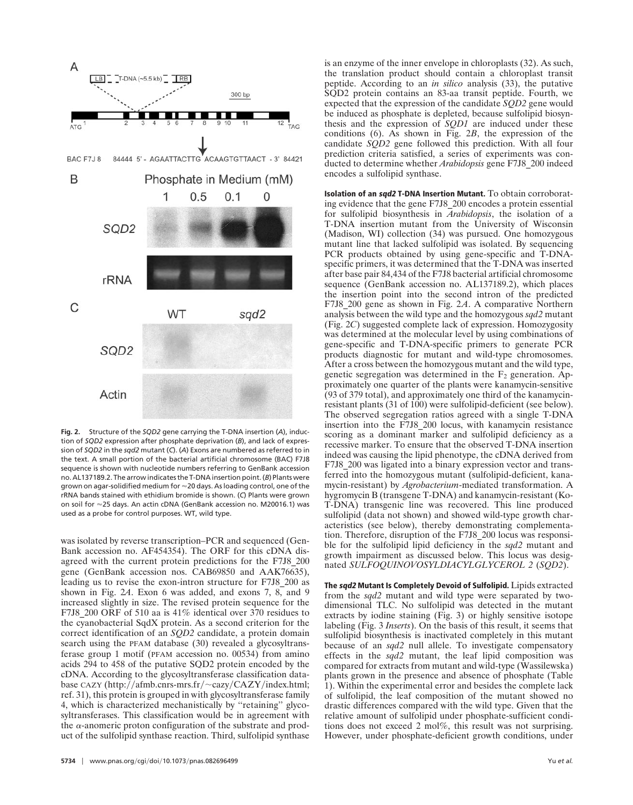

**Fig. 2.** Structure of the *SQD2* gene carrying the T-DNA insertion (*A*), induction of *SQD2* expression after phosphate deprivation (*B*), and lack of expression of *SQD2* in the *sqd2* mutant (*C*). (*A*) Exons are numbered as referred to in the text. A small portion of the bacterial artificial chromosome (BAC) F7J8 sequence is shown with nucleotide numbers referring to GenBank accession no. AL137189.2. The arrow indicates the T-DNA insertion point. (*B*) Plants were grown on agar-solidified medium for 20 days. As loading control, one of the rRNA bands stained with ethidium bromide is shown. (*C*) Plants were grown on soil for 25 days. An actin cDNA (GenBank accession no. M20016.1) was used as a probe for control purposes. WT, wild type.

was isolated by reverse transcription–PCR and sequenced (Gen-Bank accession no. AF454354). The ORF for this cDNA disagreed with the current protein predictions for the F7J8\_200 gene (GenBank accession nos. CAB69850 and AAK76635), leading us to revise the exon-intron structure for F7J8\_200 as shown in Fig. 2*A*. Exon 6 was added, and exons 7, 8, and 9 increased slightly in size. The revised protein sequence for the F7J8 200 ORF of 510 aa is 41% identical over 370 residues to the cyanobacterial SqdX protein. As a second criterion for the correct identification of an *SQD2* candidate, a protein domain search using the PFAM database (30) revealed a glycosyltransferase group 1 motif (PFAM accession no. 00534) from amino acids 294 to 458 of the putative SQD2 protein encoded by the cDNA. According to the glycosyltransferase classification database CAZY (http://afmb.cnrs-mrs.fr/ $\sim$ cazy/CAZY/index.html; ref. 31), this protein is grouped in with glycosyltransferase family 4, which is characterized mechanistically by ''retaining'' glycosyltransferases. This classification would be in agreement with the  $\alpha$ -anomeric proton configuration of the substrate and product of the sulfolipid synthase reaction. Third, sulfolipid synthase

is an enzyme of the inner envelope in chloroplasts (32). As such, the translation product should contain a chloroplast transit peptide. According to an *in silico* analysis (33), the putative SQD2 protein contains an 83-aa transit peptide. Fourth, we expected that the expression of the candidate *SQD2* gene would be induced as phosphate is depleted, because sulfolipid biosynthesis and the expression of *SQD1* are induced under these conditions (6). As shown in Fig. 2*B*, the expression of the candidate *SQD2* gene followed this prediction. With all four prediction criteria satisfied, a series of experiments was conducted to determine whether *Arabidopsis* gene F7J8\_200 indeed encodes a sulfolipid synthase.

**Isolation of an sqd2 T-DNA Insertion Mutant.** To obtain corroborating evidence that the gene F7J8\_200 encodes a protein essential for sulfolipid biosynthesis in *Arabidopsis*, the isolation of a T-DNA insertion mutant from the University of Wisconsin (Madison, WI) collection (34) was pursued. One homozygous mutant line that lacked sulfolipid was isolated. By sequencing PCR products obtained by using gene-specific and T-DNAspecific primers, it was determined that the T-DNA was inserted after base pair 84,434 of the F7J8 bacterial artificial chromosome sequence (GenBank accession no. AL137189.2), which places the insertion point into the second intron of the predicted F7J8\_200 gene as shown in Fig. 2*A*. A comparative Northern analysis between the wild type and the homozygous *sqd2* mutant (Fig. 2*C*) suggested complete lack of expression. Homozygosity was determined at the molecular level by using combinations of gene-specific and T-DNA-specific primers to generate PCR products diagnostic for mutant and wild-type chromosomes. After a cross between the homozygous mutant and the wild type, genetic segregation was determined in the  $F_2$  generation. Approximately one quarter of the plants were kanamycin-sensitive (93 of 379 total), and approximately one third of the kanamycinresistant plants (31 of 100) were sulfolipid-deficient (see below). The observed segregation ratios agreed with a single T-DNA insertion into the F7J8\_200 locus, with kanamycin resistance scoring as a dominant marker and sulfolipid deficiency as a recessive marker. To ensure that the observed T-DNA insertion indeed was causing the lipid phenotype, the cDNA derived from F7J8 200 was ligated into a binary expression vector and transferred into the homozygous mutant (sulfolipid-deficient, kanamycin-resistant) by *Agrobacterium*-mediated transformation. A hygromycin B (transgene T-DNA) and kanamycin-resistant (Ko-T-DNA) transgenic line was recovered. This line produced sulfolipid (data not shown) and showed wild-type growth characteristics (see below), thereby demonstrating complementation. Therefore, disruption of the F7J8\_200 locus was responsible for the sulfolipid lipid deficiency in the *sqd2* mutant and growth impairment as discussed below. This locus was designated *SULFOQUINOVOSYLDIACYLGLYCEROL 2* (*SQD2*).

**The sqd2 Mutant Is Completely Devoid of Sulfolipid.** Lipids extracted from the *sqd2* mutant and wild type were separated by twodimensional TLC. No sulfolipid was detected in the mutant extracts by iodine staining (Fig. 3) or highly sensitive isotope labeling (Fig. 3 *Inserts*). On the basis of this result, it seems that sulfolipid biosynthesis is inactivated completely in this mutant because of an *sqd2* null allele. To investigate compensatory effects in the *sqd2* mutant, the leaf lipid composition was compared for extracts from mutant and wild-type (Wassilewska) plants grown in the presence and absence of phosphate (Table 1). Within the experimental error and besides the complete lack of sulfolipid, the leaf composition of the mutant showed no drastic differences compared with the wild type. Given that the relative amount of sulfolipid under phosphate-sufficient conditions does not exceed 2 mol%, this result was not surprising. However, under phosphate-deficient growth conditions, under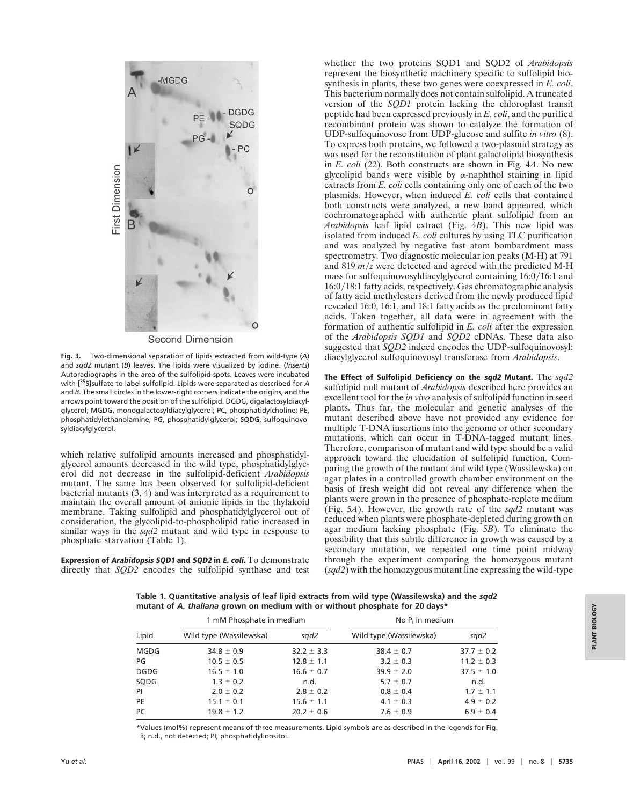

**Second Dimension** 

**Fig. 3.** Two-dimensional separation of lipids extracted from wild-type (*A*) and *sqd2* mutant (*B*) leaves. The lipids were visualized by iodine. (*Inserts*) Autoradiographs in the area of the sulfolipid spots. Leaves were incubated with [35S]sulfate to label sulfolipid. Lipids were separated as described for *A* and *B*. The small circles in the lower-right corners indicate the origins, and the arrows point toward the position of the sulfolipid. DGDG, digalactosyldiacylglycerol; MGDG, monogalactosyldiacylglycerol; PC, phosphatidylcholine; PE, phosphatidylethanolamine; PG, phosphatidylglycerol; SQDG, sulfoquinovosyldiacylglycerol.

which relative sulfolipid amounts increased and phosphatidylglycerol amounts decreased in the wild type, phosphatidylglycerol did not decrease in the sulfolipid-deficient *Arabidopsis* mutant. The same has been observed for sulfolipid-deficient bacterial mutants (3, 4) and was interpreted as a requirement to maintain the overall amount of anionic lipids in the thylakoid membrane. Taking sulfolipid and phosphatidylglycerol out of consideration, the glycolipid-to-phospholipid ratio increased in similar ways in the *sqd2* mutant and wild type in response to phosphate starvation (Table 1).

**Expression of Arabidopsis SQD1 and SQD2 in E. coli.** To demonstrate directly that *SQD2* encodes the sulfolipid synthase and test whether the two proteins SQD1 and SQD2 of *Arabidopsis* represent the biosynthetic machinery specific to sulfolipid biosynthesis in plants, these two genes were coexpressed in *E. coli*. This bacterium normally does not contain sulfolipid. A truncated version of the *SQD1* protein lacking the chloroplast transit peptide had been expressed previously in *E. coli*, and the purified recombinant protein was shown to catalyze the formation of UDP-sulfoquinovose from UDP-glucose and sulfite *in vitro* (8). To express both proteins, we followed a two-plasmid strategy as was used for the reconstitution of plant galactolipid biosynthesis in *E. coli* (22). Both constructs are shown in Fig. 4*A*. No new glycolipid bands were visible by  $\alpha$ -naphthol staining in lipid extracts from *E. coli* cells containing only one of each of the two plasmids. However, when induced *E. coli* cells that contained both constructs were analyzed, a new band appeared, which cochromatographed with authentic plant sulfolipid from an *Arabidopsis* leaf lipid extract (Fig. 4*B*). This new lipid was isolated from induced *E. coli* cultures by using TLC purification and was analyzed by negative fast atom bombardment mass spectrometry. Two diagnostic molecular ion peaks (M-H) at 791 and 819  $m/z$  were detected and agreed with the predicted M-H mass for sulfoquinovosyldiacylglycerol containing  $16:0/16:1$  and  $16:0/18:1$  fatty acids, respectively. Gas chromatographic analysis of fatty acid methylesters derived from the newly produced lipid revealed 16:0, 16:1, and 18:1 fatty acids as the predominant fatty acids. Taken together, all data were in agreement with the formation of authentic sulfolipid in *E. coli* after the expression of the *Arabidopsis SQD1* and *SQD2* cDNAs. These data also suggested that *SQD2* indeed encodes the UDP-sulfoquinovosyl: diacylglycerol sulfoquinovosyl transferase from *Arabidopsis*.

**The Effect of Sulfolipid Deficiency on the sqd2 Mutant.** The *sqd2* sulfolipid null mutant of *Arabidopsis* described here provides an excellent tool for the *in vivo* analysis of sulfolipid function in seed plants. Thus far, the molecular and genetic analyses of the mutant described above have not provided any evidence for multiple T-DNA insertions into the genome or other secondary mutations, which can occur in T-DNA-tagged mutant lines. Therefore, comparison of mutant and wild type should be a valid approach toward the elucidation of sulfolipid function. Comparing the growth of the mutant and wild type (Wassilewska) on agar plates in a controlled growth chamber environment on the basis of fresh weight did not reveal any difference when the plants were grown in the presence of phosphate-replete medium (Fig. 5*A*). However, the growth rate of the *sqd2* mutant was reduced when plants were phosphate-depleted during growth on agar medium lacking phosphate (Fig. 5*B*). To eliminate the possibility that this subtle difference in growth was caused by a secondary mutation, we repeated one time point midway through the experiment comparing the homozygous mutant (*sqd2*) with the homozygous mutant line expressing the wild-type

**Table 1. Quantitative analysis of leaf lipid extracts from wild type (Wassilewska) and the** *sqd2* **mutant of** *A. thaliana* **grown on medium with or without phosphate for 20 days\***

|             | 1 mM Phosphate in medium |                | No $P_i$ in medium      |                |
|-------------|--------------------------|----------------|-------------------------|----------------|
| Lipid       | Wild type (Wassilewska)  | sgd2           | Wild type (Wassilewska) | sgd2           |
| MGDG        | $34.8 \pm 0.9$           | $32.2 \pm 3.3$ | $38.4 \pm 0.7$          | $37.7 \pm 0.2$ |
| PG          | $10.5 \pm 0.5$           | $12.8 \pm 1.1$ | $3.2 \pm 0.3$           | $11.2 \pm 0.3$ |
| <b>DGDG</b> | $16.5 \pm 1.0$           | $16.6 \pm 0.7$ | $39.9 \pm 2.0$          | $37.5 \pm 1.0$ |
| SQDG        | $1.3 \pm 0.2$            | n.d.           | $5.7 \pm 0.7$           | n.d.           |
| PI          | $2.0 \pm 0.2$            | $2.8 \pm 0.2$  | $0.8 \pm 0.4$           | $1.7 \pm 1.1$  |
| PE          | $15.1 \pm 0.1$           | $15.6 \pm 1.1$ | $4.1 \pm 0.3$           | $4.9 \pm 0.2$  |
| PC.         | $19.8 \pm 1.2$           | $20.2 \pm 0.6$ | $7.6 \pm 0.9$           | $6.9 \pm 0.4$  |

\*Values (mol%) represent means of three measurements. Lipid symbols are as described in the legends for Fig. 3; n.d., not detected; PI, phosphatidylinositol.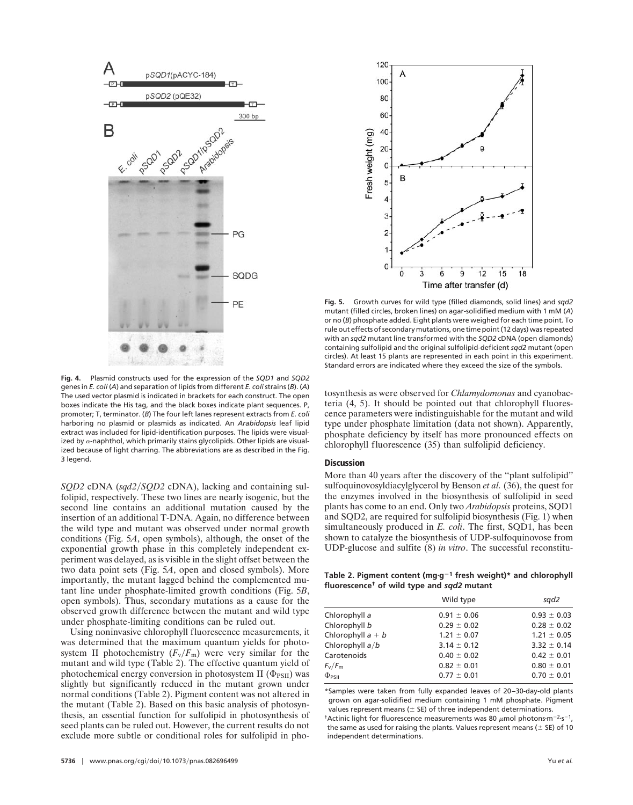

**Fig. 4.** Plasmid constructs used for the expression of the *SQD1* and *SQD2* genes in *E. coli* (*A*) and separation of lipids from different *E. coli*strains (*B*). (*A*) The used vector plasmid is indicated in brackets for each construct. The open boxes indicate the His tag, and the black boxes indicate plant sequences. P, promoter; T, terminator. (*B*) The four left lanes represent extracts from *E. coli* harboring no plasmid or plasmids as indicated. An *Arabidopsis* leaf lipid extract was included for lipid-identification purposes. The lipids were visualized by  $\alpha$ -naphthol, which primarily stains glycolipids. Other lipids are visualized because of light charring. The abbreviations are as described in the Fig. 3 legend.

*SQD2* cDNA (*sqd2SQD2* cDNA), lacking and containing sulfolipid, respectively. These two lines are nearly isogenic, but the second line contains an additional mutation caused by the insertion of an additional T-DNA. Again, no difference between the wild type and mutant was observed under normal growth conditions (Fig. 5*A*, open symbols), although, the onset of the exponential growth phase in this completely independent experiment was delayed, as is visible in the slight offset between the two data point sets (Fig. 5*A*, open and closed symbols). More importantly, the mutant lagged behind the complemented mutant line under phosphate-limited growth conditions (Fig. 5*B*, open symbols). Thus, secondary mutations as a cause for the observed growth difference between the mutant and wild type under phosphate-limiting conditions can be ruled out.

Using noninvasive chlorophyll fluorescence measurements, it was determined that the maximum quantum yields for photosystem II photochemistry  $(F_v/F_m)$  were very similar for the mutant and wild type (Table 2). The effective quantum yield of photochemical energy conversion in photosystem II  $(\Phi_{PSII})$  was slightly but significantly reduced in the mutant grown under normal conditions (Table 2). Pigment content was not altered in the mutant (Table 2). Based on this basic analysis of photosynthesis, an essential function for sulfolipid in photosynthesis of seed plants can be ruled out. However, the current results do not exclude more subtle or conditional roles for sulfolipid in pho-



**Fig. 5.** Growth curves for wild type (filled diamonds, solid lines) and *sqd2* mutant (filled circles, broken lines) on agar-solidified medium with 1 mM (*A*) or no (*B*) phosphate added. Eight plants were weighed for each time point. To rule out effects of secondary mutations, one time point (12 days) was repeated with an *sqd2* mutant line transformed with the *SQD2* cDNA (open diamonds) containing sulfolipid and the original sulfolipid-deficient *sqd2* mutant (open circles). At least 15 plants are represented in each point in this experiment. Standard errors are indicated where they exceed the size of the symbols.

tosynthesis as were observed for *Chlamydomonas* and cyanobacteria (4, 5). It should be pointed out that chlorophyll fluorescence parameters were indistinguishable for the mutant and wild type under phosphate limitation (data not shown). Apparently, phosphate deficiency by itself has more pronounced effects on chlorophyll fluorescence (35) than sulfolipid deficiency.

#### **Discussion**

More than 40 years after the discovery of the ''plant sulfolipid'' sulfoquinovosyldiacylglycerol by Benson *et al.* (36), the quest for the enzymes involved in the biosynthesis of sulfolipid in seed plants has come to an end. Only two *Arabidopsis* proteins, SQD1 and SQD2, are required for sulfolipid biosynthesis (Fig. 1) when simultaneously produced in *E. coli*. The first, SQD1, has been shown to catalyze the biosynthesis of UDP-sulfoquinovose from UDP-glucose and sulfite (8) *in vitro*. The successful reconstitu-

**Table 2. Pigment content (mgg<sup>1</sup> fresh weight)\* and chlorophyll fluorescence† of wild type and** *sqd2* **mutant**

|                     | Wild type       | sad2            |
|---------------------|-----------------|-----------------|
| Chlorophyll a       | $0.91 \pm 0.06$ | $0.93 \pm 0.03$ |
| Chlorophyll b       | $0.29 \pm 0.02$ | $0.28 \pm 0.02$ |
| Chlorophyll $a + b$ | $1.21 \pm 0.07$ | $1.21 \pm 0.05$ |
| Chlorophyll $a/b$   | $3.14 \pm 0.12$ | $3.32 \pm 0.14$ |
| Carotenoids         | $0.40 \pm 0.02$ | $0.42 \pm 0.01$ |
| $F_{V}/F_{m}$       | $0.82 \pm 0.01$ | $0.80 \pm 0.01$ |
| $\Phi_{PSII}$       | $0.77 \pm 0.01$ | $0.70 \pm 0.01$ |
|                     |                 |                 |

\*Samples were taken from fully expanded leaves of 20–30-day-old plants grown on agar-solidified medium containing 1 mM phosphate. Pigment values represent means ( $\pm$  SE) of three independent determinations.

<sup>†</sup>Actinic light for fluorescence measurements was 80  $\mu$ mol photons·m<sup>-2</sup>·s<sup>-1</sup>, the same as used for raising the plants. Values represent means ( $\pm$  SE) of 10 independent determinations.